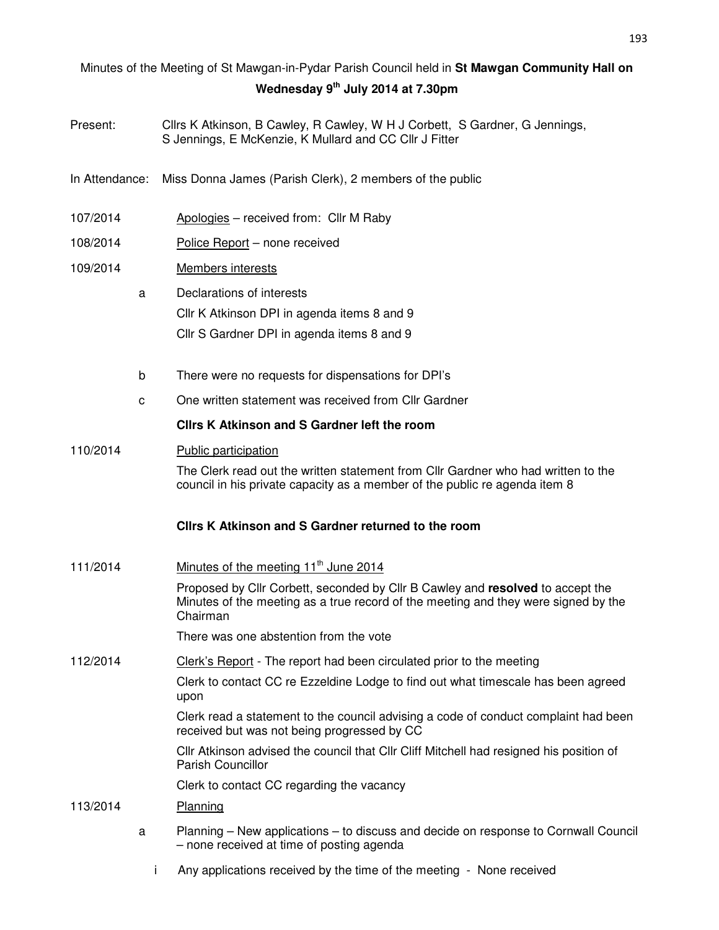# Minutes of the Meeting of St Mawgan-in-Pydar Parish Council held in **St Mawgan Community Hall on Wednesday 9th July 2014 at 7.30pm**

- Present: Cllrs K Atkinson, B Cawley, R Cawley, W H J Corbett, S Gardner, G Jennings, S Jennings, E McKenzie, K Mullard and CC Cllr J Fitter
- In Attendance: Miss Donna James (Parish Clerk), 2 members of the public
- 107/2014 Apologies received from: Cllr M Raby
- 108/2014 Police Report none received
- 109/2014 Members interests
	- a Declarations of interests Cllr K Atkinson DPI in agenda items 8 and 9 Cllr S Gardner DPI in agenda items 8 and 9
	- b There were no requests for dispensations for DPI's
	- c One written statement was received from Cllr Gardner

# **Cllrs K Atkinson and S Gardner left the room**

110/2014 Public participation

The Clerk read out the written statement from Cllr Gardner who had written to the council in his private capacity as a member of the public re agenda item 8

#### **Cllrs K Atkinson and S Gardner returned to the room**

111/2014 Minutes of the meeting  $11<sup>th</sup>$  June 2014 Proposed by Cllr Corbett, seconded by Cllr B Cawley and **resolved** to accept the Minutes of the meeting as a true record of the meeting and they were signed by the Chairman

There was one abstention from the vote

112/2014 Clerk's Report - The report had been circulated prior to the meeting

Clerk to contact CC re Ezzeldine Lodge to find out what timescale has been agreed upon

Clerk read a statement to the council advising a code of conduct complaint had been received but was not being progressed by CC

Cllr Atkinson advised the council that Cllr Cliff Mitchell had resigned his position of Parish Councillor

Clerk to contact CC regarding the vacancy

## 113/2014 Planning

- a Planning New applications to discuss and decide on response to Cornwall Council – none received at time of posting agenda
	- i Any applications received by the time of the meeting None received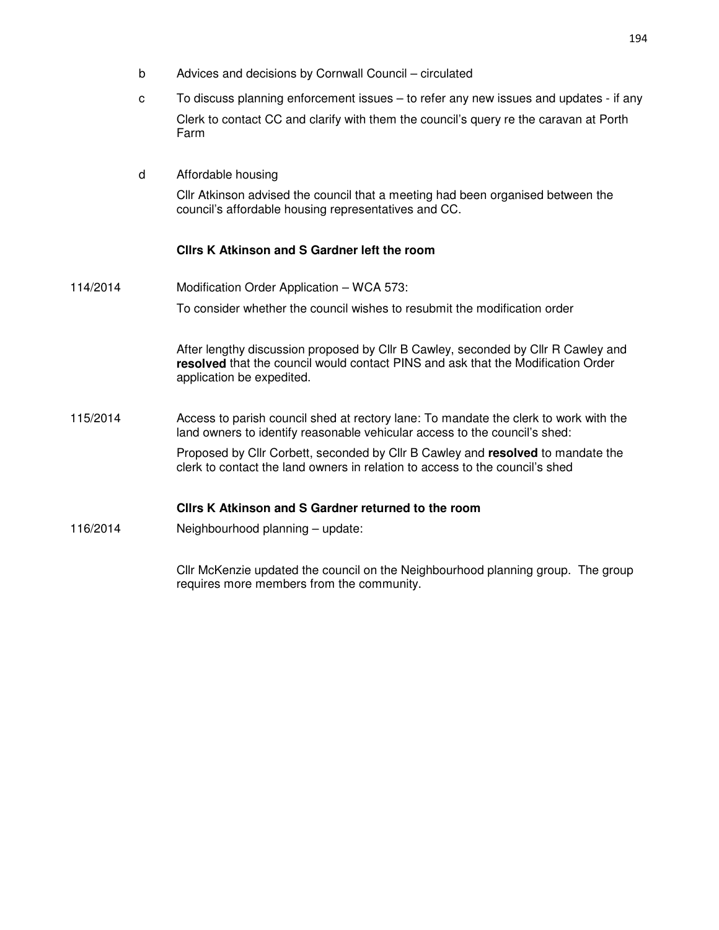- b Advices and decisions by Cornwall Council circulated
- c To discuss planning enforcement issues to refer any new issues and updates if any Clerk to contact CC and clarify with them the council's query re the caravan at Porth Farm
- d Affordable housing

Cllr Atkinson advised the council that a meeting had been organised between the council's affordable housing representatives and CC.

## **Cllrs K Atkinson and S Gardner left the room**

114/2014 Modification Order Application – WCA 573: To consider whether the council wishes to resubmit the modification order

> After lengthy discussion proposed by Cllr B Cawley, seconded by Cllr R Cawley and **resolved** that the council would contact PINS and ask that the Modification Order application be expedited.

115/2014 Access to parish council shed at rectory lane: To mandate the clerk to work with the land owners to identify reasonable vehicular access to the council's shed:

> Proposed by Cllr Corbett, seconded by Cllr B Cawley and **resolved** to mandate the clerk to contact the land owners in relation to access to the council's shed

#### **Cllrs K Atkinson and S Gardner returned to the room**

116/2014 Neighbourhood planning – update:

Cllr McKenzie updated the council on the Neighbourhood planning group. The group requires more members from the community.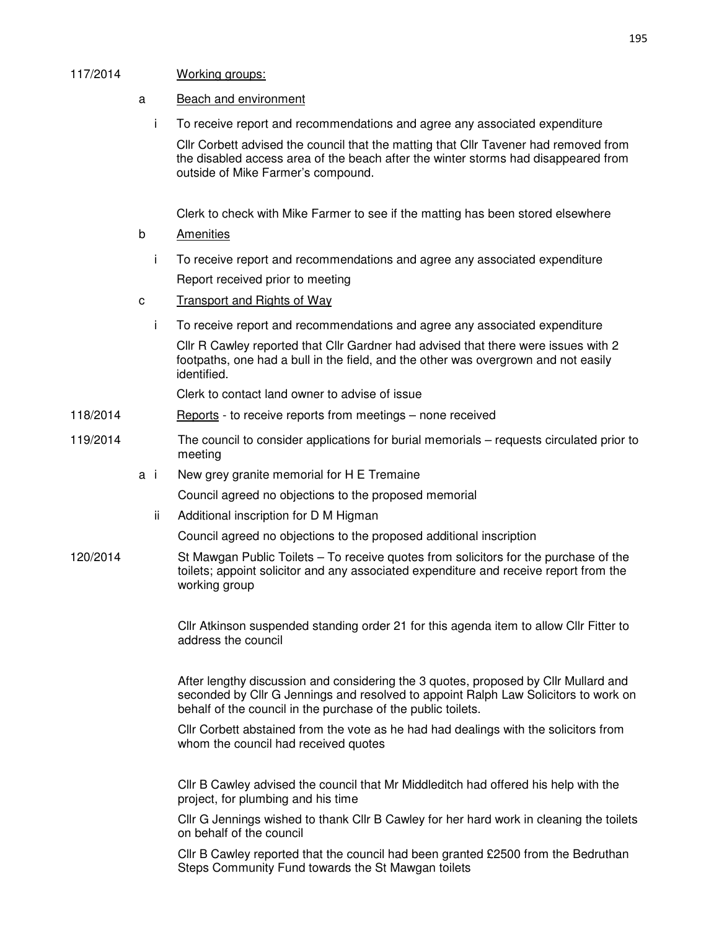## 117/2014 Working groups:

- a Beach and environment
	- i To receive report and recommendations and agree any associated expenditure

Cllr Corbett advised the council that the matting that Cllr Tavener had removed from the disabled access area of the beach after the winter storms had disappeared from outside of Mike Farmer's compound.

Clerk to check with Mike Farmer to see if the matting has been stored elsewhere

- b Amenities
	- i To receive report and recommendations and agree any associated expenditure Report received prior to meeting
- c Transport and Rights of Way
	- i To receive report and recommendations and agree any associated expenditure

Cllr R Cawley reported that Cllr Gardner had advised that there were issues with 2 footpaths, one had a bull in the field, and the other was overgrown and not easily identified.

Clerk to contact land owner to advise of issue

- 118/2014 Reports to receive reports from meetings none received
- 119/2014 The council to consider applications for burial memorials requests circulated prior to meeting
	- a i New grey granite memorial for H E Tremaine

Council agreed no objections to the proposed memorial

ii Additional inscription for D M Higman

Council agreed no objections to the proposed additional inscription

120/2014 St Mawgan Public Toilets – To receive quotes from solicitors for the purchase of the toilets; appoint solicitor and any associated expenditure and receive report from the working group

> Cllr Atkinson suspended standing order 21 for this agenda item to allow Cllr Fitter to address the council

After lengthy discussion and considering the 3 quotes, proposed by Cllr Mullard and seconded by Cllr G Jennings and resolved to appoint Ralph Law Solicitors to work on behalf of the council in the purchase of the public toilets.

Cllr Corbett abstained from the vote as he had had dealings with the solicitors from whom the council had received quotes

Cllr B Cawley advised the council that Mr Middleditch had offered his help with the project, for plumbing and his time

Cllr G Jennings wished to thank Cllr B Cawley for her hard work in cleaning the toilets on behalf of the council

Cllr B Cawley reported that the council had been granted £2500 from the Bedruthan Steps Community Fund towards the St Mawgan toilets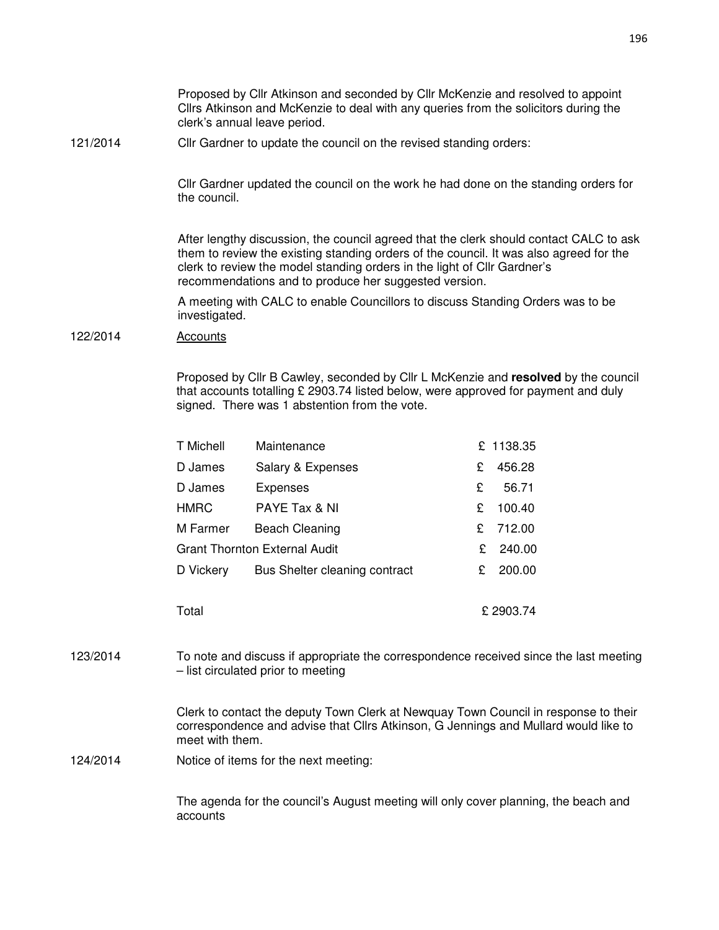Proposed by Cllr Atkinson and seconded by Cllr McKenzie and resolved to appoint Cllrs Atkinson and McKenzie to deal with any queries from the solicitors during the clerk's annual leave period.

121/2014 Cllr Gardner to update the council on the revised standing orders:

Cllr Gardner updated the council on the work he had done on the standing orders for the council.

After lengthy discussion, the council agreed that the clerk should contact CALC to ask them to review the existing standing orders of the council. It was also agreed for the clerk to review the model standing orders in the light of Cllr Gardner's recommendations and to produce her suggested version.

A meeting with CALC to enable Councillors to discuss Standing Orders was to be investigated.

#### 122/2014 Accounts

Proposed by Cllr B Cawley, seconded by Cllr L McKenzie and **resolved** by the council that accounts totalling £ 2903.74 listed below, were approved for payment and duly signed. There was 1 abstention from the vote.

| <b>T</b> Michell                     | Maintenance                   |           | £ 1138.35 |
|--------------------------------------|-------------------------------|-----------|-----------|
| D James                              | Salary & Expenses             | £         | 456.28    |
| D James                              | <b>Expenses</b>               | £         | 56.71     |
| <b>HMRC</b>                          | PAYE Tax & NI                 | £         | 100.40    |
| M Farmer                             | <b>Beach Cleaning</b>         | £         | 712.00    |
| <b>Grant Thornton External Audit</b> |                               | £.        | 240.00    |
| D Vickery                            | Bus Shelter cleaning contract | £         | 200.00    |
|                                      |                               |           |           |
| Total                                |                               | £ 2903.74 |           |

123/2014 To note and discuss if appropriate the correspondence received since the last meeting – list circulated prior to meeting

> Clerk to contact the deputy Town Clerk at Newquay Town Council in response to their correspondence and advise that Cllrs Atkinson, G Jennings and Mullard would like to meet with them.

124/2014 Notice of items for the next meeting:

The agenda for the council's August meeting will only cover planning, the beach and accounts